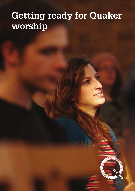# **Getting ready for Quaker worship**

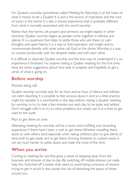For Quakers, worship (sometimes called Meeting for Worship) is at the heart of what it means to be a Quaker. It is and is the source of inspiration and the root of action in the world. It is also a shared experience that is probably different from what is normally associated with the word 'worship'.

Rather than the hymns, set prayers and sermons we might expect in other churches, Quaker worship begins as people come together in stillness and silence. It is a quietness that helps to settle those who are there, to calm thoughts and open hearts; it is a way to find inspiration and insight and to communicate directly with what some call God or the divine. Worship is a way to connect profoundly with the deepest reality and with each other.

It is difficult to describe Quaker worship and the best way to understand it is to experience it firsthand. For anyone visiting a Quaker meeting for the first time, here are some suggestions about how best to prepare and hopefully to get a sense of what is going on.

## **Before worship**

#### *Practise being still*

Quaker worship normally lasts for an hour, and an hour of silence and stillness can seem daunting. It is possible to feel anxious about it and so a little practice might be valuable. It is worthwhile in the days before visiting a Quaker meeting for worship to try to take a few minutes out each day to be quiet and settled. Don't struggle with it or try to solve problems, but simply use it as a time to get used to the quiet.

#### *Plan to get there on time*

Attending meeting for worship will be a much more fulfilling and rewarding experience if there hasn't been a rush to get there. Whether travelling there alone or with others (and especially when taking children) plan to give plenty of time both to get ready and to get there. Arriving flustered or rushed means it can be much harder to settle down and make the most of the time.

## **When you arrive**

Coming to meeting for worship gives a sense of stepping away from the busyness and stresses of day-to-day life; switching off mobile phones can really help this. Switched off is better than silent, to avoid being conscious of anyone trying to get in touch! It also avoids the risk of disturbing the peace of those around you.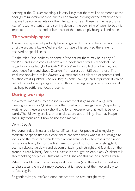Arriving at the Quaker meeting, it is very likely that there will be someone at the door greeting everyone who arrives. For anyone coming for the first time there may well be some leaflets or other literature to read. These can be helpful as a way of focusing attention and settling down at the beginning of worship, but it is important to try to spend at least part of the time simply being still and open.

## **The worship space**

The worship space will probably be arranged with chairs or benches in a square or circle around a table. Quakers do not have a hierarchy so there are no reserved or special seats.

On the table (and perhaps on some of the chairs) there may be a copy of the Bible and some copies of both a red book and a small red booklet. The larger book is called '*Quaker faith & Practice*' and is a collection of writing and experience from and about Quakers from across our 350 year history. The small red booklet is called *Advices & queries* and is a collection of prompts and questions that Quakers read regularly as both challenge and inspiration. It can be helpful to read a few paragraphs from this at the beginning of worship; again, it may help to settle and focus thoughts.

## **During worship**

It is almost impossible to describe in words what is going on in a Quaker meeting for worship. Quakers will often used words like 'gathered', 'expectant', 'waiting', but these are only shorthand for an experience that really is beyond words. The following are just brief explanations about things that may happen and suggestions about how to use the time well.

#### *Don't struggle*

Everyone finds stillness and silence difficult. Even for people who regularly meditate or spend time in silence, there are often times when it is a struggle to focus, and the mind can wander to a recent argument or to what is for dinner. For anyone trying this for the first time, it is good not to strive or struggle. It is best to relax, settle down and sit comfortably (back straight and feet flat on the ground is usually best). Focus on a particular thought or idea. Many Quakers talk about holding people or situations 'in the Light' and this can be a helpful image.

When thoughts start to run away in all directions (and they will) it is best not to chase after them but simply accept that it happens, let them go and try to re-focus again.

Be gentle with yourself and don't expect it to be easy straight away.